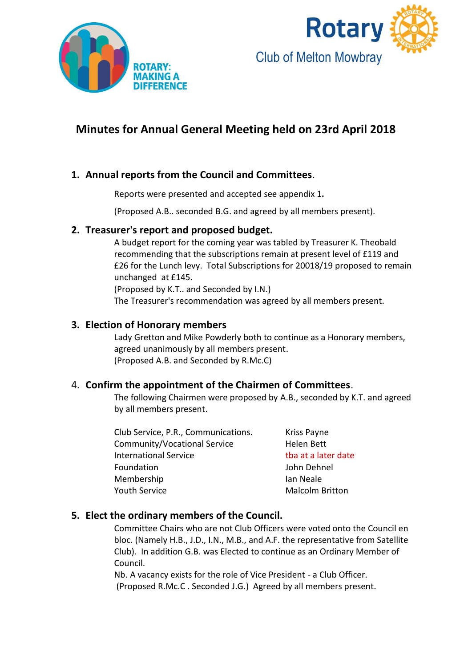



### **Minutes for Annual General Meeting held on 23rd April 2018**

### **1. Annual reports from the Council and Committees**.

Reports were presented and accepted see appendix 1**.**

(Proposed A.B.. seconded B.G. and agreed by all members present).

### **2. Treasurer's report and proposed budget.**

A budget report for the coming year was tabled by Treasurer K. Theobald recommending that the subscriptions remain at present level of £119 and £26 for the Lunch levy. Total Subscriptions for 20018/19 proposed to remain unchanged at £145.

(Proposed by K.T.. and Seconded by I.N.) The Treasurer's recommendation was agreed by all members present.

### **3. Election of Honorary members**

Lady Gretton and Mike Powderly both to continue as a Honorary members, agreed unanimously by all members present. (Proposed A.B. and Seconded by R.Mc.C)

### 4. **Confirm the appointment of the Chairmen of Committees**.

The following Chairmen were proposed by A.B., seconded by K.T. and agreed by all members present.

Club Service, P.R., Communications. Kriss Payne Community/Vocational Service Helen Bett International Service that a later date Foundation **John Dehnel** Membership **Ian Neale** Youth Service **Malcolm Britton** 

### **5. Elect the ordinary members of the Council.**

Committee Chairs who are not Club Officers were voted onto the Council en bloc. (Namely H.B., J.D., I.N., M.B., and A.F. the representative from Satellite Club). In addition G.B. was Elected to continue as an Ordinary Member of Council.

Nb. A vacancy exists for the role of Vice President - a Club Officer. (Proposed R.Mc.C . Seconded J.G.) Agreed by all members present.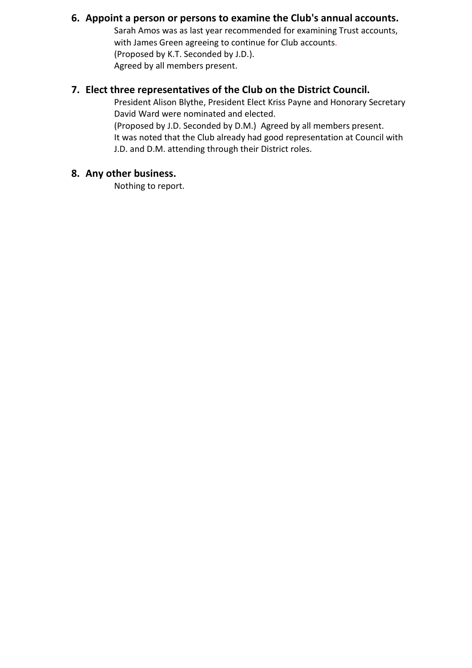### **6. Appoint a person or persons to examine the Club's annual accounts.**

Sarah Amos was as last year recommended for examining Trust accounts, with James Green agreeing to continue for Club accounts. (Proposed by K.T. Seconded by J.D.). Agreed by all members present.

### **7. Elect three representatives of the Club on the District Council.**

President Alison Blythe, President Elect Kriss Payne and Honorary Secretary David Ward were nominated and elected. (Proposed by J.D. Seconded by D.M.) Agreed by all members present. It was noted that the Club already had good representation at Council with

J.D. and D.M. attending through their District roles.

### **8. Any other business.**

Nothing to report.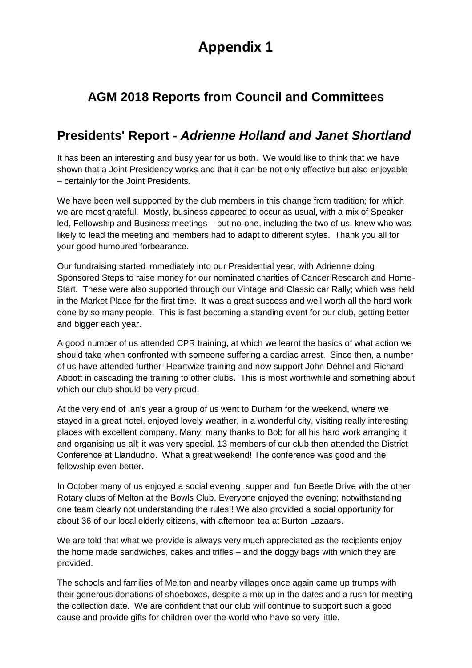# **Appendix 1**

## **AGM 2018 Reports from Council and Committees**

## **Presidents' Report -** *Adrienne Holland and Janet Shortland*

It has been an interesting and busy year for us both. We would like to think that we have shown that a Joint Presidency works and that it can be not only effective but also enjoyable – certainly for the Joint Presidents.

We have been well supported by the club members in this change from tradition; for which we are most grateful. Mostly, business appeared to occur as usual, with a mix of Speaker led, Fellowship and Business meetings – but no-one, including the two of us, knew who was likely to lead the meeting and members had to adapt to different styles. Thank you all for your good humoured forbearance.

Our fundraising started immediately into our Presidential year, with Adrienne doing Sponsored Steps to raise money for our nominated charities of Cancer Research and Home-Start. These were also supported through our Vintage and Classic car Rally; which was held in the Market Place for the first time. It was a great success and well worth all the hard work done by so many people. This is fast becoming a standing event for our club, getting better and bigger each year.

A good number of us attended CPR training, at which we learnt the basics of what action we should take when confronted with someone suffering a cardiac arrest. Since then, a number of us have attended further Heartwize training and now support John Dehnel and Richard Abbott in cascading the training to other clubs. This is most worthwhile and something about which our club should be very proud.

At the very end of Ian's year a group of us went to Durham for the weekend, where we stayed in a great hotel, enjoyed lovely weather, in a wonderful city, visiting really interesting places with excellent company. Many, many thanks to Bob for all his hard work arranging it and organising us all; it was very special. 13 members of our club then attended the District Conference at Llandudno. What a great weekend! The conference was good and the fellowship even better.

In October many of us enjoyed a social evening, supper and fun Beetle Drive with the other Rotary clubs of Melton at the Bowls Club. Everyone enjoyed the evening; notwithstanding one team clearly not understanding the rules!! We also provided a social opportunity for about 36 of our local elderly citizens, with afternoon tea at Burton Lazaars.

We are told that what we provide is always very much appreciated as the recipients enjoy the home made sandwiches, cakes and trifles – and the doggy bags with which they are provided.

The schools and families of Melton and nearby villages once again came up trumps with their generous donations of shoeboxes, despite a mix up in the dates and a rush for meeting the collection date. We are confident that our club will continue to support such a good cause and provide gifts for children over the world who have so very little.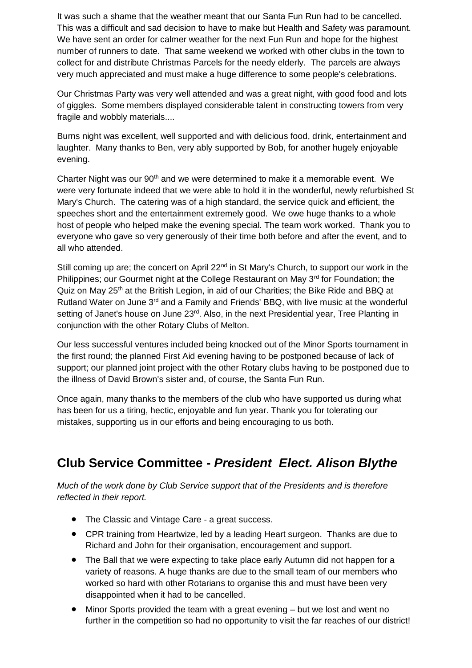It was such a shame that the weather meant that our Santa Fun Run had to be cancelled. This was a difficult and sad decision to have to make but Health and Safety was paramount. We have sent an order for calmer weather for the next Fun Run and hope for the highest number of runners to date. That same weekend we worked with other clubs in the town to collect for and distribute Christmas Parcels for the needy elderly. The parcels are always very much appreciated and must make a huge difference to some people's celebrations.

Our Christmas Party was very well attended and was a great night, with good food and lots of giggles. Some members displayed considerable talent in constructing towers from very fragile and wobbly materials....

Burns night was excellent, well supported and with delicious food, drink, entertainment and laughter. Many thanks to Ben, very ably supported by Bob, for another hugely enjoyable evening.

Charter Night was our  $90<sup>th</sup>$  and we were determined to make it a memorable event. We were very fortunate indeed that we were able to hold it in the wonderful, newly refurbished St Mary's Church. The catering was of a high standard, the service quick and efficient, the speeches short and the entertainment extremely good. We owe huge thanks to a whole host of people who helped make the evening special. The team work worked. Thank you to everyone who gave so very generously of their time both before and after the event, and to all who attended.

Still coming up are; the concert on April 22<sup>nd</sup> in St Mary's Church, to support our work in the Philippines; our Gourmet night at the College Restaurant on May 3rd for Foundation; the Quiz on May 25<sup>th</sup> at the British Legion, in aid of our Charities; the Bike Ride and BBQ at Rutland Water on June 3<sup>rd</sup> and a Family and Friends' BBQ, with live music at the wonderful setting of Janet's house on June 23<sup>rd</sup>. Also, in the next Presidential year, Tree Planting in conjunction with the other Rotary Clubs of Melton.

Our less successful ventures included being knocked out of the Minor Sports tournament in the first round; the planned First Aid evening having to be postponed because of lack of support; our planned joint project with the other Rotary clubs having to be postponed due to the illness of David Brown's sister and, of course, the Santa Fun Run.

Once again, many thanks to the members of the club who have supported us during what has been for us a tiring, hectic, enjoyable and fun year. Thank you for tolerating our mistakes, supporting us in our efforts and being encouraging to us both.

## **Club Service Committee -** *President Elect. Alison Blythe*

*Much of the work done by Club Service support that of the Presidents and is therefore reflected in their report.*

- The Classic and Vintage Care a great success.
- CPR training from Heartwize, led by a leading Heart surgeon. Thanks are due to Richard and John for their organisation, encouragement and support.
- The Ball that we were expecting to take place early Autumn did not happen for a variety of reasons. A huge thanks are due to the small team of our members who worked so hard with other Rotarians to organise this and must have been very disappointed when it had to be cancelled.
- Minor Sports provided the team with a great evening but we lost and went no further in the competition so had no opportunity to visit the far reaches of our district!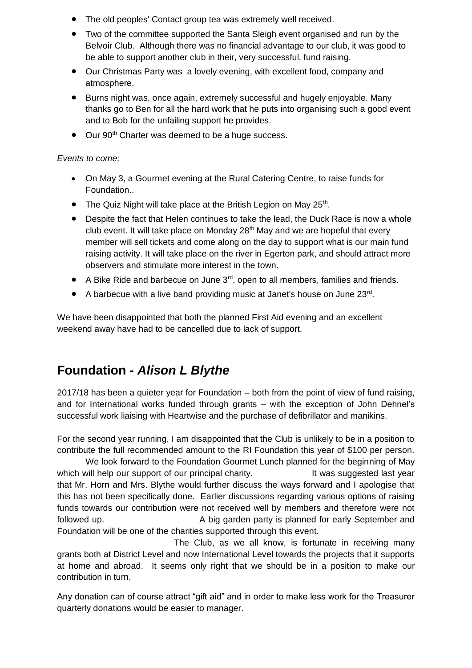- The old peoples' Contact group tea was extremely well received.
- Two of the committee supported the Santa Sleigh event organised and run by the Belvoir Club. Although there was no financial advantage to our club, it was good to be able to support another club in their, very successful, fund raising.
- Our Christmas Party was a lovely evening, with excellent food, company and atmosphere.
- Burns night was, once again, extremely successful and hugely enjoyable. Many thanks go to Ben for all the hard work that he puts into organising such a good event and to Bob for the unfailing support he provides.
- Our 90<sup>th</sup> Charter was deemed to be a huge success.

#### *Events to come;*

- On May 3, a Gourmet evening at the Rural Catering Centre, to raise funds for Foundation..
- $\bullet$  The Quiz Night will take place at the British Legion on May 25<sup>th</sup>.
- Despite the fact that Helen continues to take the lead, the Duck Race is now a whole club event. It will take place on Monday 28<sup>th</sup> May and we are hopeful that every member will sell tickets and come along on the day to support what is our main fund raising activity. It will take place on the river in Egerton park, and should attract more observers and stimulate more interest in the town.
- A Bike Ride and barbecue on June  $3<sup>rd</sup>$ , open to all members, families and friends.
- A barbecue with a live band providing music at Janet's house on June 23rd.

We have been disappointed that both the planned First Aid evening and an excellent weekend away have had to be cancelled due to lack of support.

## **Foundation -** *Alison L Blythe*

2017/18 has been a quieter year for Foundation – both from the point of view of fund raising, and for International works funded through grants – with the exception of John Dehnel's successful work liaising with Heartwise and the purchase of defibrillator and manikins.

For the second year running, I am disappointed that the Club is unlikely to be in a position to contribute the full recommended amount to the RI Foundation this year of \$100 per person.

We look forward to the Foundation Gourmet Lunch planned for the beginning of May which will help our support of our principal charity. It was suggested last year that Mr. Horn and Mrs. Blythe would further discuss the ways forward and I apologise that this has not been specifically done. Earlier discussions regarding various options of raising funds towards our contribution were not received well by members and therefore were not followed up. A big garden party is planned for early September and Foundation will be one of the charities supported through this event.

 The Club, as we all know, is fortunate in receiving many grants both at District Level and now International Level towards the projects that it supports at home and abroad. It seems only right that we should be in a position to make our contribution in turn.

Any donation can of course attract "gift aid" and in order to make less work for the Treasurer quarterly donations would be easier to manager.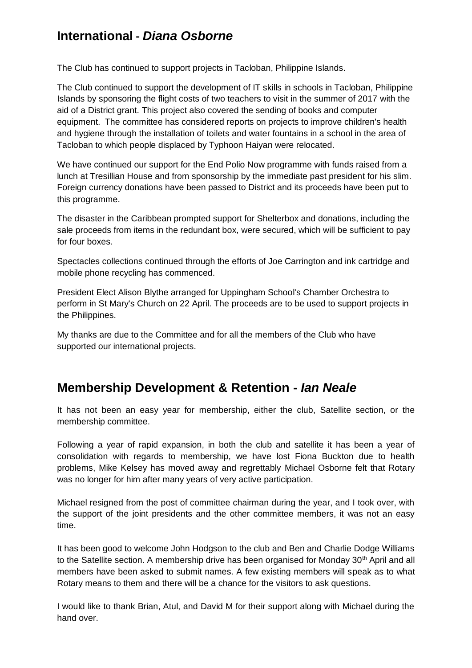## **International -** *Diana Osborne*

The Club has continued to support projects in Tacloban, Philippine Islands.

The Club continued to support the development of IT skills in schools in Tacloban, Philippine Islands by sponsoring the flight costs of two teachers to visit in the summer of 2017 with the aid of a District grant. This project also covered the sending of books and computer equipment. The committee has considered reports on projects to improve children's health and hygiene through the installation of toilets and water fountains in a school in the area of Tacloban to which people displaced by Typhoon Haiyan were relocated.

We have continued our support for the End Polio Now programme with funds raised from a lunch at Tresillian House and from sponsorship by the immediate past president for his slim. Foreign currency donations have been passed to District and its proceeds have been put to this programme.

The disaster in the Caribbean prompted support for Shelterbox and donations, including the sale proceeds from items in the redundant box, were secured, which will be sufficient to pay for four boxes.

Spectacles collections continued through the efforts of Joe Carrington and ink cartridge and mobile phone recycling has commenced.

President Elect Alison Blythe arranged for Uppingham School's Chamber Orchestra to perform in St Mary's Church on 22 April. The proceeds are to be used to support projects in the Philippines.

My thanks are due to the Committee and for all the members of the Club who have supported our international projects.

### **Membership Development & Retention -** *Ian Neale*

It has not been an easy year for membership, either the club, Satellite section, or the membership committee.

Following a year of rapid expansion, in both the club and satellite it has been a year of consolidation with regards to membership, we have lost Fiona Buckton due to health problems, Mike Kelsey has moved away and regrettably Michael Osborne felt that Rotary was no longer for him after many years of very active participation.

Michael resigned from the post of committee chairman during the year, and I took over, with the support of the joint presidents and the other committee members, it was not an easy time.

It has been good to welcome John Hodgson to the club and Ben and Charlie Dodge Williams to the Satellite section. A membership drive has been organised for Monday 30<sup>th</sup> April and all members have been asked to submit names. A few existing members will speak as to what Rotary means to them and there will be a chance for the visitors to ask questions.

I would like to thank Brian, Atul, and David M for their support along with Michael during the hand over.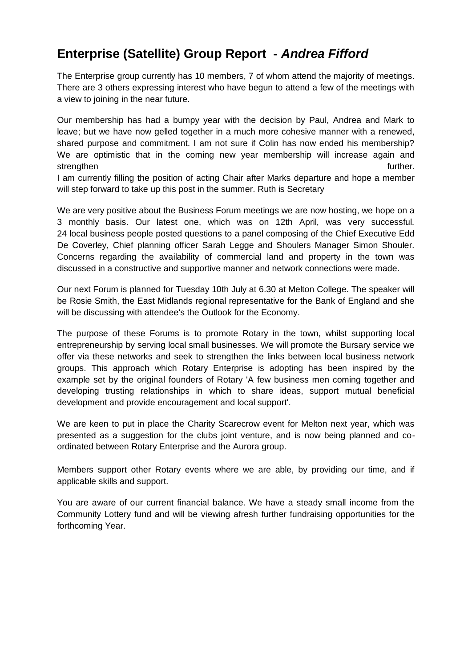## **Enterprise (Satellite) Group Report -** *Andrea Fifford*

The Enterprise group currently has 10 members, 7 of whom attend the majority of meetings. There are 3 others expressing interest who have begun to attend a few of the meetings with a view to joining in the near future.

Our membership has had a bumpy year with the decision by Paul, Andrea and Mark to leave; but we have now gelled together in a much more cohesive manner with a renewed, shared purpose and commitment. I am not sure if Colin has now ended his membership? We are optimistic that in the coming new year membership will increase again and strengthen further.

I am currently filling the position of acting Chair after Marks departure and hope a member will step forward to take up this post in the summer. Ruth is Secretary

We are very positive about the Business Forum meetings we are now hosting, we hope on a 3 monthly basis. Our latest one, which was on 12th April, was very successful. 24 local business people posted questions to a panel composing of the Chief Executive Edd De Coverley, Chief planning officer Sarah Legge and Shoulers Manager Simon Shouler. Concerns regarding the availability of commercial land and property in the town was discussed in a constructive and supportive manner and network connections were made.

Our next Forum is planned for Tuesday 10th July at 6.30 at Melton College. The speaker will be Rosie Smith, the East Midlands regional representative for the Bank of England and she will be discussing with attendee's the Outlook for the Economy.

The purpose of these Forums is to promote Rotary in the town, whilst supporting local entrepreneurship by serving local small businesses. We will promote the Bursary service we offer via these networks and seek to strengthen the links between local business network groups. This approach which Rotary Enterprise is adopting has been inspired by the example set by the original founders of Rotary 'A few business men coming together and developing trusting relationships in which to share ideas, support mutual beneficial development and provide encouragement and local support'.

We are keen to put in place the Charity Scarecrow event for Melton next year, which was presented as a suggestion for the clubs joint venture, and is now being planned and coordinated between Rotary Enterprise and the Aurora group.

Members support other Rotary events where we are able, by providing our time, and if applicable skills and support.

You are aware of our current financial balance. We have a steady small income from the Community Lottery fund and will be viewing afresh further fundraising opportunities for the forthcoming Year.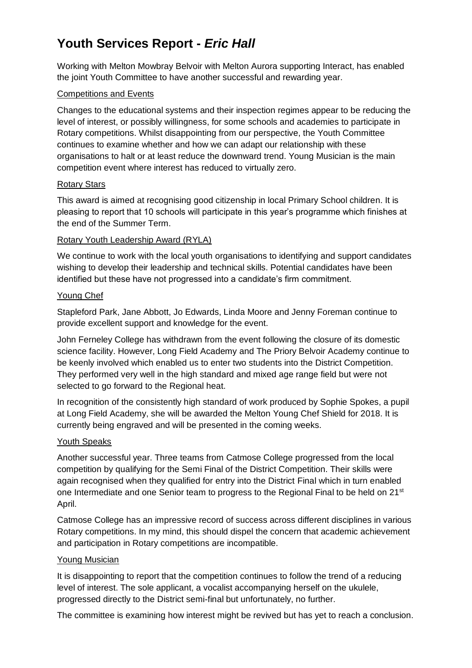## **Youth Services Report -** *Eric Hall*

Working with Melton Mowbray Belvoir with Melton Aurora supporting Interact, has enabled the joint Youth Committee to have another successful and rewarding year.

#### Competitions and Events

Changes to the educational systems and their inspection regimes appear to be reducing the level of interest, or possibly willingness, for some schools and academies to participate in Rotary competitions. Whilst disappointing from our perspective, the Youth Committee continues to examine whether and how we can adapt our relationship with these organisations to halt or at least reduce the downward trend. Young Musician is the main competition event where interest has reduced to virtually zero.

#### Rotary Stars

This award is aimed at recognising good citizenship in local Primary School children. It is pleasing to report that 10 schools will participate in this year's programme which finishes at the end of the Summer Term.

#### Rotary Youth Leadership Award (RYLA)

We continue to work with the local youth organisations to identifying and support candidates wishing to develop their leadership and technical skills. Potential candidates have been identified but these have not progressed into a candidate's firm commitment.

#### Young Chef

Stapleford Park, Jane Abbott, Jo Edwards, Linda Moore and Jenny Foreman continue to provide excellent support and knowledge for the event.

John Ferneley College has withdrawn from the event following the closure of its domestic science facility. However, Long Field Academy and The Priory Belvoir Academy continue to be keenly involved which enabled us to enter two students into the District Competition. They performed very well in the high standard and mixed age range field but were not selected to go forward to the Regional heat.

In recognition of the consistently high standard of work produced by Sophie Spokes, a pupil at Long Field Academy, she will be awarded the Melton Young Chef Shield for 2018. It is currently being engraved and will be presented in the coming weeks.

#### Youth Speaks

Another successful year. Three teams from Catmose College progressed from the local competition by qualifying for the Semi Final of the District Competition. Their skills were again recognised when they qualified for entry into the District Final which in turn enabled one Intermediate and one Senior team to progress to the Regional Final to be held on 21<sup>st</sup> April.

Catmose College has an impressive record of success across different disciplines in various Rotary competitions. In my mind, this should dispel the concern that academic achievement and participation in Rotary competitions are incompatible.

#### Young Musician

It is disappointing to report that the competition continues to follow the trend of a reducing level of interest. The sole applicant, a vocalist accompanying herself on the ukulele, progressed directly to the District semi-final but unfortunately, no further.

The committee is examining how interest might be revived but has yet to reach a conclusion.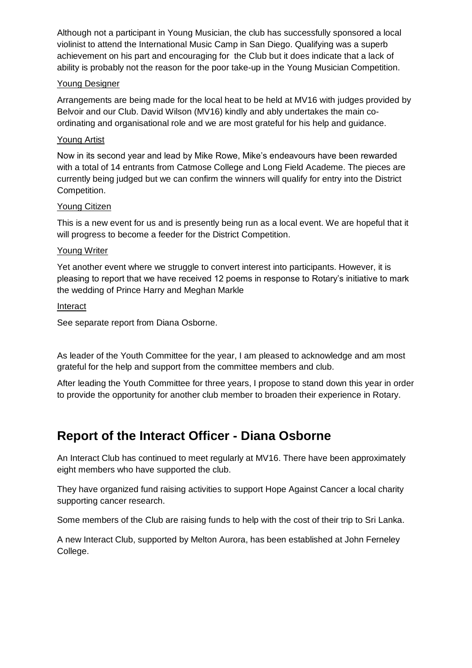Although not a participant in Young Musician, the club has successfully sponsored a local violinist to attend the International Music Camp in San Diego. Qualifying was a superb achievement on his part and encouraging for the Club but it does indicate that a lack of ability is probably not the reason for the poor take-up in the Young Musician Competition.

#### Young Designer

Arrangements are being made for the local heat to be held at MV16 with judges provided by Belvoir and our Club. David Wilson (MV16) kindly and ably undertakes the main coordinating and organisational role and we are most grateful for his help and guidance.

#### Young Artist

Now in its second year and lead by Mike Rowe, Mike's endeavours have been rewarded with a total of 14 entrants from Catmose College and Long Field Academe. The pieces are currently being judged but we can confirm the winners will qualify for entry into the District Competition.

#### Young Citizen

This is a new event for us and is presently being run as a local event. We are hopeful that it will progress to become a feeder for the District Competition.

#### Young Writer

Yet another event where we struggle to convert interest into participants. However, it is pleasing to report that we have received 12 poems in response to Rotary's initiative to mark the wedding of Prince Harry and Meghan Markle

#### **Interact**

See separate report from Diana Osborne.

As leader of the Youth Committee for the year, I am pleased to acknowledge and am most grateful for the help and support from the committee members and club.

After leading the Youth Committee for three years, I propose to stand down this year in order to provide the opportunity for another club member to broaden their experience in Rotary.

## **Report of the Interact Officer - Diana Osborne**

An Interact Club has continued to meet regularly at MV16. There have been approximately eight members who have supported the club.

They have organized fund raising activities to support Hope Against Cancer a local charity supporting cancer research.

Some members of the Club are raising funds to help with the cost of their trip to Sri Lanka.

A new Interact Club, supported by Melton Aurora, has been established at John Ferneley College.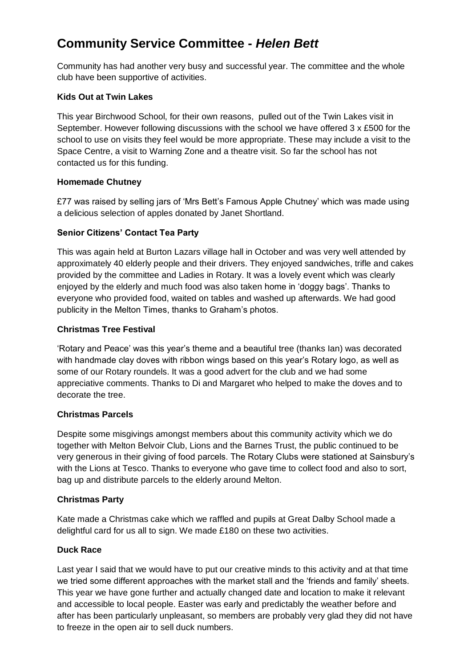## **Community Service Committee -** *Helen Bett*

Community has had another very busy and successful year. The committee and the whole club have been supportive of activities.

#### **Kids Out at Twin Lakes**

This year Birchwood School, for their own reasons, pulled out of the Twin Lakes visit in September. However following discussions with the school we have offered 3 x £500 for the school to use on visits they feel would be more appropriate. These may include a visit to the Space Centre, a visit to Warning Zone and a theatre visit. So far the school has not contacted us for this funding.

#### **Homemade Chutney**

£77 was raised by selling jars of 'Mrs Bett's Famous Apple Chutney' which was made using a delicious selection of apples donated by Janet Shortland.

### **Senior Citizens' Contact Tea Party**

This was again held at Burton Lazars village hall in October and was very well attended by approximately 40 elderly people and their drivers. They enjoyed sandwiches, trifle and cakes provided by the committee and Ladies in Rotary. It was a lovely event which was clearly enjoyed by the elderly and much food was also taken home in 'doggy bags'. Thanks to everyone who provided food, waited on tables and washed up afterwards. We had good publicity in the Melton Times, thanks to Graham's photos.

#### **Christmas Tree Festival**

'Rotary and Peace' was this year's theme and a beautiful tree (thanks Ian) was decorated with handmade clay doves with ribbon wings based on this year's Rotary logo, as well as some of our Rotary roundels. It was a good advert for the club and we had some appreciative comments. Thanks to Di and Margaret who helped to make the doves and to decorate the tree.

#### **Christmas Parcels**

Despite some misgivings amongst members about this community activity which we do together with Melton Belvoir Club, Lions and the Barnes Trust, the public continued to be very generous in their giving of food parcels. The Rotary Clubs were stationed at Sainsbury's with the Lions at Tesco. Thanks to everyone who gave time to collect food and also to sort, bag up and distribute parcels to the elderly around Melton.

#### **Christmas Party**

Kate made a Christmas cake which we raffled and pupils at Great Dalby School made a delightful card for us all to sign. We made £180 on these two activities.

#### **Duck Race**

Last year I said that we would have to put our creative minds to this activity and at that time we tried some different approaches with the market stall and the 'friends and family' sheets. This year we have gone further and actually changed date and location to make it relevant and accessible to local people. Easter was early and predictably the weather before and after has been particularly unpleasant, so members are probably very glad they did not have to freeze in the open air to sell duck numbers.